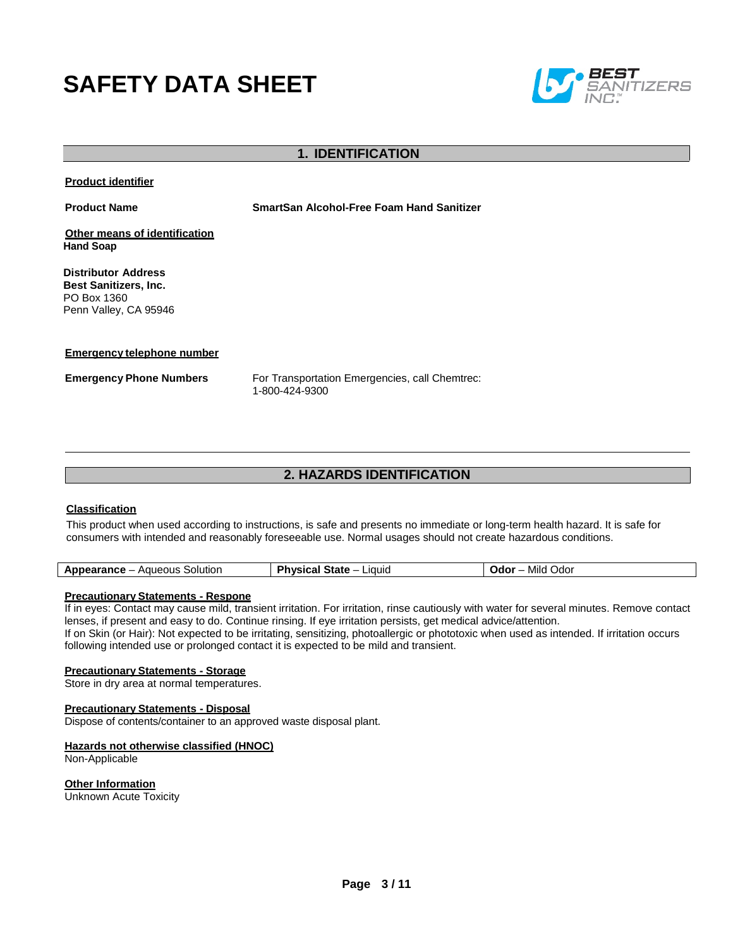# **SAFETY DATA SHEET**



# **1. IDENTIFICATION**

**Product identifier**

**Product Name SmartSan Alcohol-Free Foam Hand Sanitizer**

**Other means of identification Hand Soap**

**Distributor Address Best Sanitizers, Inc.**  PO Box 1360 Penn Valley, CA 95946

#### **Emergency telephone number**

**Emergency Phone Numbers** For Transportation Emergencies, call Chemtrec: 1-800-424-9300

# **2. HAZARDS IDENTIFICATION**

#### **Classification**

This product when used according to instructions, is safe and presents no immediate or long-term health hazard. It is safe for consumers with intended and reasonably foreseeable use. Normal usages should not create hazardous conditions.

| Liauic<br>Jdor -<br>30lution<br>Mild<br>vau.<br>'anct<br>. эмне<br>— п<br>$-11.77$<br>-- |
|------------------------------------------------------------------------------------------|
|------------------------------------------------------------------------------------------|

#### **Precautionary Statements - Respone**

If in eyes: Contact may cause mild, transient irritation. For irritation, rinse cautiously with water for several minutes. Remove contact lenses, if present and easy to do. Continue rinsing. If eye irritation persists, get medical advice/attention.

If on Skin (or Hair): Not expected to be irritating, sensitizing, photoallergic or phototoxic when used as intended. If irritation occurs following intended use or prolonged contact it is expected to be mild and transient.

## **Precautionary Statements - Storage**

Store in dry area at normal temperatures.

#### **Precautionary Statements - Disposal**

Dispose of contents/container to an approved waste disposal plant.

#### **Hazards not otherwise classified (HNOC)**

Non-Applicable

**Other Information** Unknown Acute Toxicity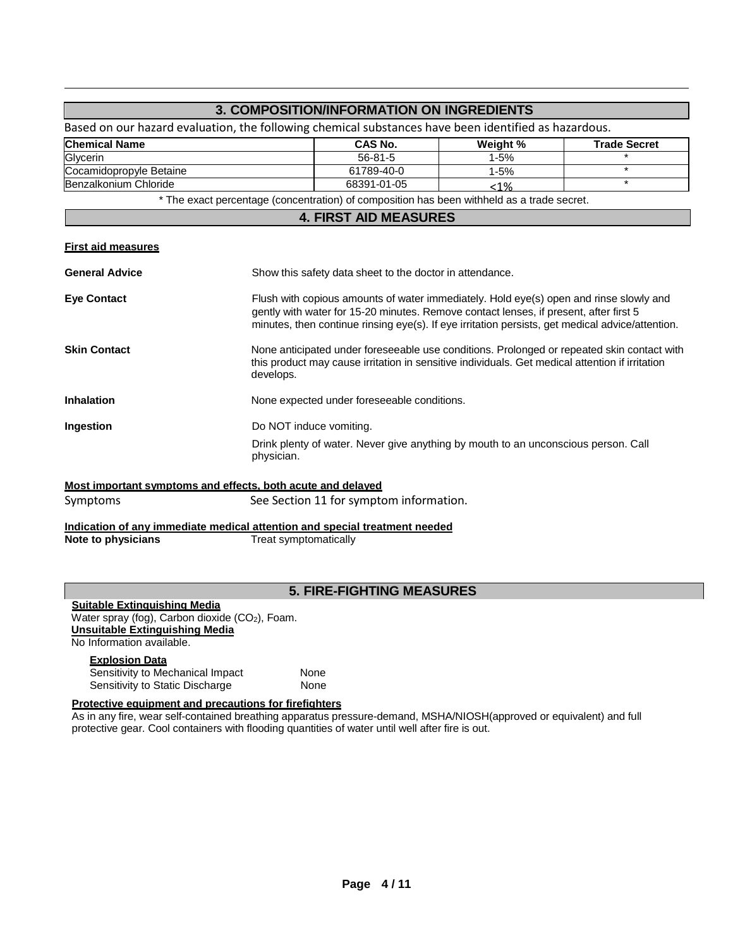|                                                                                                      |                                         | 3. COMPOSITION/INFORMATION ON INGREDIENTS                                                                                                                                                                                                                                           |          |                     |
|------------------------------------------------------------------------------------------------------|-----------------------------------------|-------------------------------------------------------------------------------------------------------------------------------------------------------------------------------------------------------------------------------------------------------------------------------------|----------|---------------------|
| Based on our hazard evaluation, the following chemical substances have been identified as hazardous. |                                         |                                                                                                                                                                                                                                                                                     |          |                     |
| <b>Chemical Name</b>                                                                                 |                                         | <b>CAS No.</b>                                                                                                                                                                                                                                                                      | Weight % | <b>Trade Secret</b> |
| Glycerin                                                                                             |                                         | 56-81-5                                                                                                                                                                                                                                                                             | $1 - 5%$ | $\ast$              |
| Cocamidopropyle Betaine                                                                              |                                         | 61789-40-0                                                                                                                                                                                                                                                                          | $1 - 5%$ | $\star$             |
| Benzalkonium Chloride<br>68391-01-05<br>$< 1\%$                                                      |                                         |                                                                                                                                                                                                                                                                                     |          | $\star$             |
|                                                                                                      |                                         | * The exact percentage (concentration) of composition has been withheld as a trade secret.                                                                                                                                                                                          |          |                     |
|                                                                                                      |                                         | <b>4. FIRST AID MEASURES</b>                                                                                                                                                                                                                                                        |          |                     |
| <b>First aid measures</b>                                                                            |                                         |                                                                                                                                                                                                                                                                                     |          |                     |
| <b>General Advice</b>                                                                                |                                         | Show this safety data sheet to the doctor in attendance.                                                                                                                                                                                                                            |          |                     |
| <b>Eye Contact</b>                                                                                   |                                         | Flush with copious amounts of water immediately. Hold eye(s) open and rinse slowly and<br>gently with water for 15-20 minutes. Remove contact lenses, if present, after first 5<br>minutes, then continue rinsing eye(s). If eye irritation persists, get medical advice/attention. |          |                     |
| <b>Skin Contact</b>                                                                                  | develops.                               | None anticipated under foreseeable use conditions. Prolonged or repeated skin contact with<br>this product may cause irritation in sensitive individuals. Get medical attention if irritation                                                                                       |          |                     |
| <b>Inhalation</b>                                                                                    |                                         | None expected under foreseeable conditions.                                                                                                                                                                                                                                         |          |                     |
| Ingestion                                                                                            |                                         | Do NOT induce vomiting.<br>Drink plenty of water. Never give anything by mouth to an unconscious person. Call<br>physician.                                                                                                                                                         |          |                     |
|                                                                                                      |                                         |                                                                                                                                                                                                                                                                                     |          |                     |
| Most important symptoms and effects, both acute and delaved                                          |                                         |                                                                                                                                                                                                                                                                                     |          |                     |
| Symptoms                                                                                             | See Section 11 for symptom information. |                                                                                                                                                                                                                                                                                     |          |                     |
| Indication of any immediate medical attention and special treatment needed                           |                                         |                                                                                                                                                                                                                                                                                     |          |                     |
| Note to physicians                                                                                   |                                         | Treat symptomatically                                                                                                                                                                                                                                                               |          |                     |
|                                                                                                      |                                         | <b>5. FIRE-FIGHTING MEASURES</b>                                                                                                                                                                                                                                                    |          |                     |
| Suitable Extinguishing Media<br>Water spray (fog), Carbon dioxide (CO <sub>2</sub> ), Foam.          |                                         |                                                                                                                                                                                                                                                                                     |          |                     |

**Unsuitable Extinguishing Media**

No Information available.

#### **Explosion Data**

Sensitivity to Mechanical Impact **None** Sensitivity to Static Discharge **None** 

# **Protective equipment and precautions for firefighters**

As in any fire, wear self-contained breathing apparatus pressure-demand, MSHA/NIOSH(approved or equivalent) and full protective gear. Cool containers with flooding quantities of water until well after fire is out.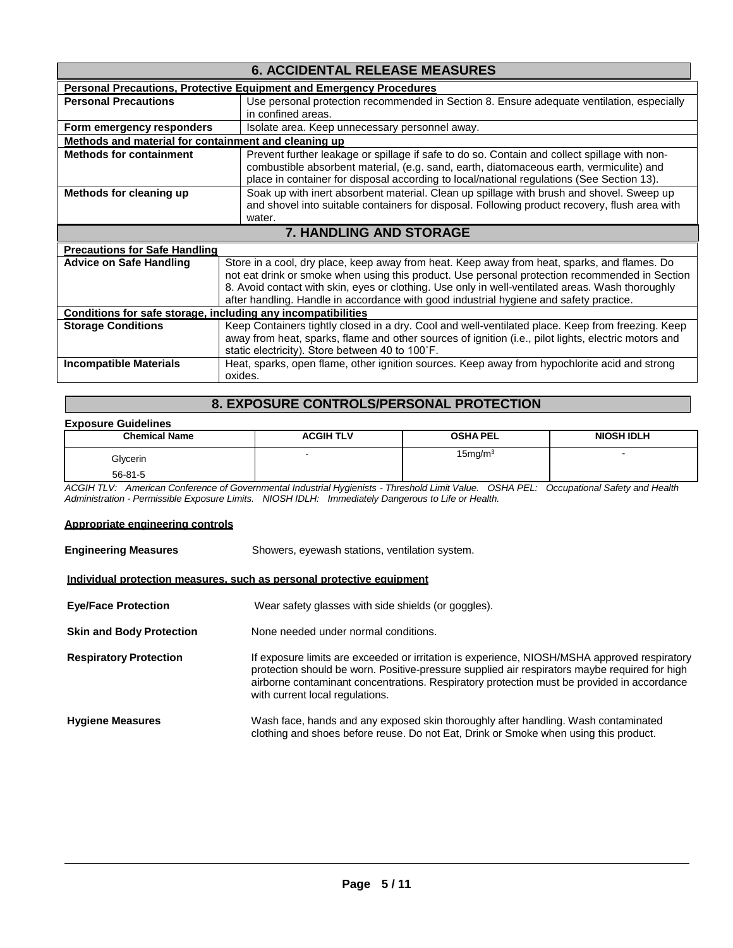| <b>6. ACCIDENTAL RELEASE MEASURES</b>                        |                                                                                                                                                                                                                                                                                      |  |  |  |
|--------------------------------------------------------------|--------------------------------------------------------------------------------------------------------------------------------------------------------------------------------------------------------------------------------------------------------------------------------------|--|--|--|
|                                                              | <b>Personal Precautions, Protective Equipment and Emergency Procedures</b>                                                                                                                                                                                                           |  |  |  |
| <b>Personal Precautions</b>                                  | Use personal protection recommended in Section 8. Ensure adequate ventilation, especially                                                                                                                                                                                            |  |  |  |
|                                                              | in confined areas.                                                                                                                                                                                                                                                                   |  |  |  |
| Form emergency responders                                    | Isolate area. Keep unnecessary personnel away.                                                                                                                                                                                                                                       |  |  |  |
| Methods and material for containment and cleaning up         |                                                                                                                                                                                                                                                                                      |  |  |  |
| <b>Methods for containment</b>                               | Prevent further leakage or spillage if safe to do so. Contain and collect spillage with non-<br>combustible absorbent material, (e.g. sand, earth, diatomaceous earth, vermiculite) and<br>place in container for disposal according to local/national regulations (See Section 13). |  |  |  |
| Methods for cleaning up                                      | Soak up with inert absorbent material. Clean up spillage with brush and shovel. Sweep up                                                                                                                                                                                             |  |  |  |
|                                                              | and shovel into suitable containers for disposal. Following product recovery, flush area with                                                                                                                                                                                        |  |  |  |
|                                                              | water.                                                                                                                                                                                                                                                                               |  |  |  |
|                                                              |                                                                                                                                                                                                                                                                                      |  |  |  |
|                                                              | <b>7. HANDLING AND STORAGE</b>                                                                                                                                                                                                                                                       |  |  |  |
| <b>Precautions for Safe Handling</b>                         |                                                                                                                                                                                                                                                                                      |  |  |  |
| <b>Advice on Safe Handling</b>                               | Store in a cool, dry place, keep away from heat. Keep away from heat, sparks, and flames. Do                                                                                                                                                                                         |  |  |  |
|                                                              | not eat drink or smoke when using this product. Use personal protection recommended in Section                                                                                                                                                                                       |  |  |  |
|                                                              | 8. Avoid contact with skin, eyes or clothing. Use only in well-ventilated areas. Wash thoroughly                                                                                                                                                                                     |  |  |  |
|                                                              | after handling. Handle in accordance with good industrial hygiene and safety practice.                                                                                                                                                                                               |  |  |  |
| Conditions for safe storage, including any incompatibilities |                                                                                                                                                                                                                                                                                      |  |  |  |
| <b>Storage Conditions</b>                                    | Keep Containers tightly closed in a dry. Cool and well-ventilated place. Keep from freezing. Keep                                                                                                                                                                                    |  |  |  |
|                                                              | away from heat, sparks, flame and other sources of ignition (i.e., pilot lights, electric motors and                                                                                                                                                                                 |  |  |  |
|                                                              | static electricity). Store between 40 to 100°F.                                                                                                                                                                                                                                      |  |  |  |
| <b>Incompatible Materials</b>                                | Heat, sparks, open flame, other ignition sources. Keep away from hypochlorite acid and strong<br>oxides.                                                                                                                                                                             |  |  |  |

# **8. EXPOSURE CONTROLS/PERSONAL PROTECTION**

#### **Exposure Guidelines**

| <b>Chemical Name</b> | <b>ACGIH TLV</b>         | <b>OSHA PEL</b>     | <b>NIOSH IDLH</b> |
|----------------------|--------------------------|---------------------|-------------------|
| Glycerin             | $\overline{\phantom{a}}$ | 15mg/m <sup>3</sup> |                   |
| $56 - 81 - 5$        |                          |                     |                   |

*ACGIH TLV: American Conference of Governmental Industrial Hygienists - Threshold Limit Value. OSHA PEL: Occupational Safety and Health Administration - Permissible Exposure Limits. NIOSH IDLH: Immediately Dangerous to Life or Health.*

#### **Appropriate engineering controls**

| <b>Engineering Measures</b>                                           | Showers, eyewash stations, ventilation system.                                                                                                                                                                                                                                                                                 |  |  |  |
|-----------------------------------------------------------------------|--------------------------------------------------------------------------------------------------------------------------------------------------------------------------------------------------------------------------------------------------------------------------------------------------------------------------------|--|--|--|
| Individual protection measures, such as personal protective equipment |                                                                                                                                                                                                                                                                                                                                |  |  |  |
| <b>Eye/Face Protection</b>                                            | Wear safety glasses with side shields (or goggles).                                                                                                                                                                                                                                                                            |  |  |  |
| <b>Skin and Body Protection</b>                                       | None needed under normal conditions.                                                                                                                                                                                                                                                                                           |  |  |  |
| <b>Respiratory Protection</b>                                         | If exposure limits are exceeded or irritation is experience, NIOSH/MSHA approved respiratory<br>protection should be worn. Positive-pressure supplied air respirators maybe required for high<br>airborne contaminant concentrations. Respiratory protection must be provided in accordance<br>with current local regulations. |  |  |  |
| <b>Hygiene Measures</b>                                               | Wash face, hands and any exposed skin thoroughly after handling. Wash contaminated<br>clothing and shoes before reuse. Do not Eat, Drink or Smoke when using this product.                                                                                                                                                     |  |  |  |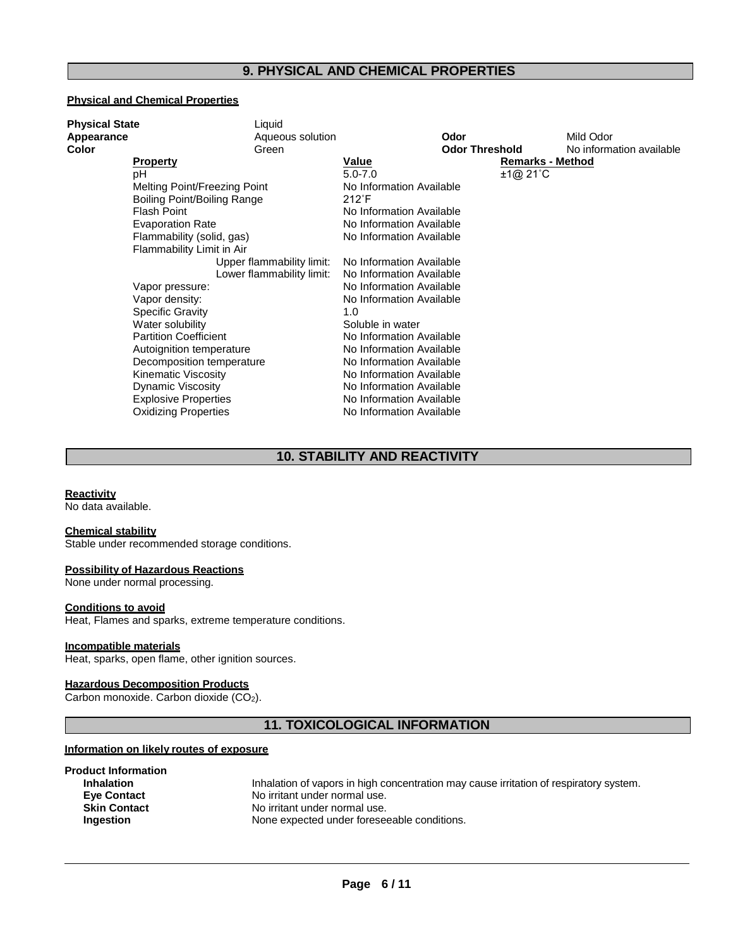# **9. PHYSICAL AND CHEMICAL PROPERTIES**

## **Physical and Chemical Properties**

| <b>Physical State</b> |                              | Liquid                    |                          |                         |                          |
|-----------------------|------------------------------|---------------------------|--------------------------|-------------------------|--------------------------|
| Appearance            |                              | Aqueous solution          |                          | Odor                    | Mild Odor                |
| Color                 |                              | Green                     |                          | <b>Odor Threshold</b>   | No information available |
|                       | <b>Property</b>              |                           | Value                    | <b>Remarks - Method</b> |                          |
|                       | pH                           |                           | $5.0 - 7.0$              | ±1@21°C                 |                          |
|                       | Melting Point/Freezing Point |                           | No Information Available |                         |                          |
|                       | Boiling Point/Boiling Range  |                           | $212^{\circ}$ F          |                         |                          |
|                       | <b>Flash Point</b>           |                           | No Information Available |                         |                          |
|                       | <b>Evaporation Rate</b>      |                           | No Information Available |                         |                          |
|                       | Flammability (solid, gas)    |                           | No Information Available |                         |                          |
|                       | Flammability Limit in Air    |                           |                          |                         |                          |
|                       |                              | Upper flammability limit: | No Information Available |                         |                          |
|                       |                              | Lower flammability limit: | No Information Available |                         |                          |
|                       | Vapor pressure:              |                           | No Information Available |                         |                          |
|                       | Vapor density:               |                           | No Information Available |                         |                          |
|                       | <b>Specific Gravity</b>      |                           | 1.0                      |                         |                          |
|                       | Water solubility             |                           | Soluble in water         |                         |                          |
|                       | <b>Partition Coefficient</b> |                           | No Information Available |                         |                          |
|                       | Autoignition temperature     |                           | No Information Available |                         |                          |
|                       | Decomposition temperature    |                           | No Information Available |                         |                          |
|                       | Kinematic Viscosity          |                           | No Information Available |                         |                          |
|                       | <b>Dynamic Viscosity</b>     |                           | No Information Available |                         |                          |
|                       | <b>Explosive Properties</b>  |                           | No Information Available |                         |                          |
|                       | <b>Oxidizing Properties</b>  |                           | No Information Available |                         |                          |

# **10. STABILITY AND REACTIVITY**

# **Reactivity**

No data available.

#### **Chemical stability**

Stable under recommended storage conditions.

#### **Possibility of Hazardous Reactions**

None under normal processing.

#### **Conditions to avoid**

Heat, Flames and sparks, extreme temperature conditions.

#### **Incompatible materials**

Heat, sparks, open flame, other ignition sources.

## **Hazardous Decomposition Products**

Carbon monoxide. Carbon dioxide (CO2).

# **11. TOXICOLOGICAL INFORMATION**

#### **Information on likely routes of exposure**

| Inhalation of vapors in high concentration may cause irritation of respiratory system. |
|----------------------------------------------------------------------------------------|
| No irritant under normal use.                                                          |
| No irritant under normal use.                                                          |
| None expected under foreseeable conditions.                                            |
|                                                                                        |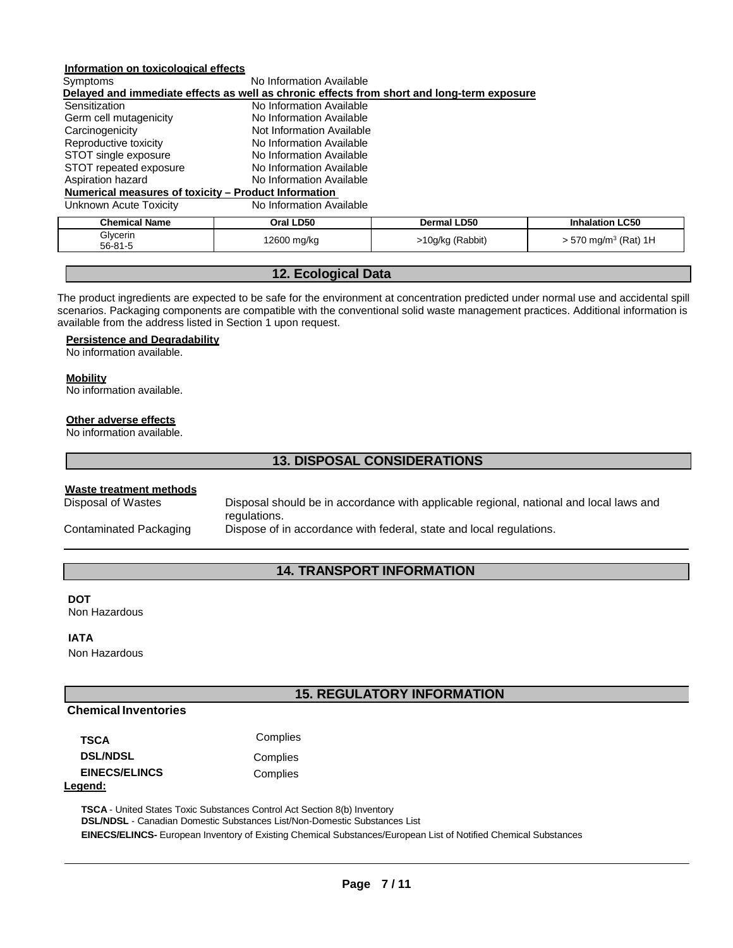# **Information on toxicological effects**

| Symptoms                                                                                   | No Information Available  |                    |  |  |  |
|--------------------------------------------------------------------------------------------|---------------------------|--------------------|--|--|--|
| Delayed and immediate effects as well as chronic effects from short and long-term exposure |                           |                    |  |  |  |
| Sensitization                                                                              | No Information Available  |                    |  |  |  |
| Germ cell mutagenicity<br>No Information Available                                         |                           |                    |  |  |  |
| Carcinogenicity                                                                            | Not Information Available |                    |  |  |  |
| Reproductive toxicity                                                                      | No Information Available  |                    |  |  |  |
| STOT single exposure                                                                       | No Information Available  |                    |  |  |  |
| STOT repeated exposure                                                                     | No Information Available  |                    |  |  |  |
| Aspiration hazard                                                                          | No Information Available  |                    |  |  |  |
| Numerical measures of toxicity - Product Information                                       |                           |                    |  |  |  |
| Unknown Acute Toxicity                                                                     | No Information Available  |                    |  |  |  |
| <b>Chemical Name</b>                                                                       | Oral LD50                 | <b>Dermal LD50</b> |  |  |  |
| Glycerin<br>$56 - 81 - 5$                                                                  | 12600 mg/kg               | >10g/kg (Rabbit)   |  |  |  |

# **12. Ecological Data**

The product ingredients are expected to be safe for the environment at concentration predicted under normal use and accidental spill scenarios. Packaging components are compatible with the conventional solid waste management practices. Additional information is available from the address listed in Section 1 upon request.

#### **Persistence and Degradability**

No information available.

#### **Mobility**

No information available.

#### **Other adverse effects**

No information available.

## **13. DISPOSAL CONSIDERATIONS**

#### **Waste treatment methods**

Disposal of Wastes Disposal should be in accordance with applicable regional, national and local laws and regulations.

56-81-5 12600 mg/kg >10g/kg (Rabbit) > 570 mg/m3 (Rat) 1H

**Inhalation LC50** 

Contaminated Packaging Dispose of in accordance with federal, state and local regulations.

# **14. TRANSPORT INFORMATION**

#### **DOT**

Non Hazardous

#### **IATA**

Non Hazardous

# **15. REGULATORY INFORMATION**

#### **Chemical Inventories**

| TSCA                 | Complies |
|----------------------|----------|
| <b>DSL/NDSL</b>      | Complies |
| <b>EINECS/ELINCS</b> | Complies |
| Legend:              |          |

**TSCA** - United States Toxic Substances Control Act Section 8(b) Inventory **DSL/NDSL** - Canadian Domestic Substances List/Non-Domestic Substances List **EINECS/ELINCS-** European Inventory of Existing Chemical Substances/European List of Notified Chemical Substances